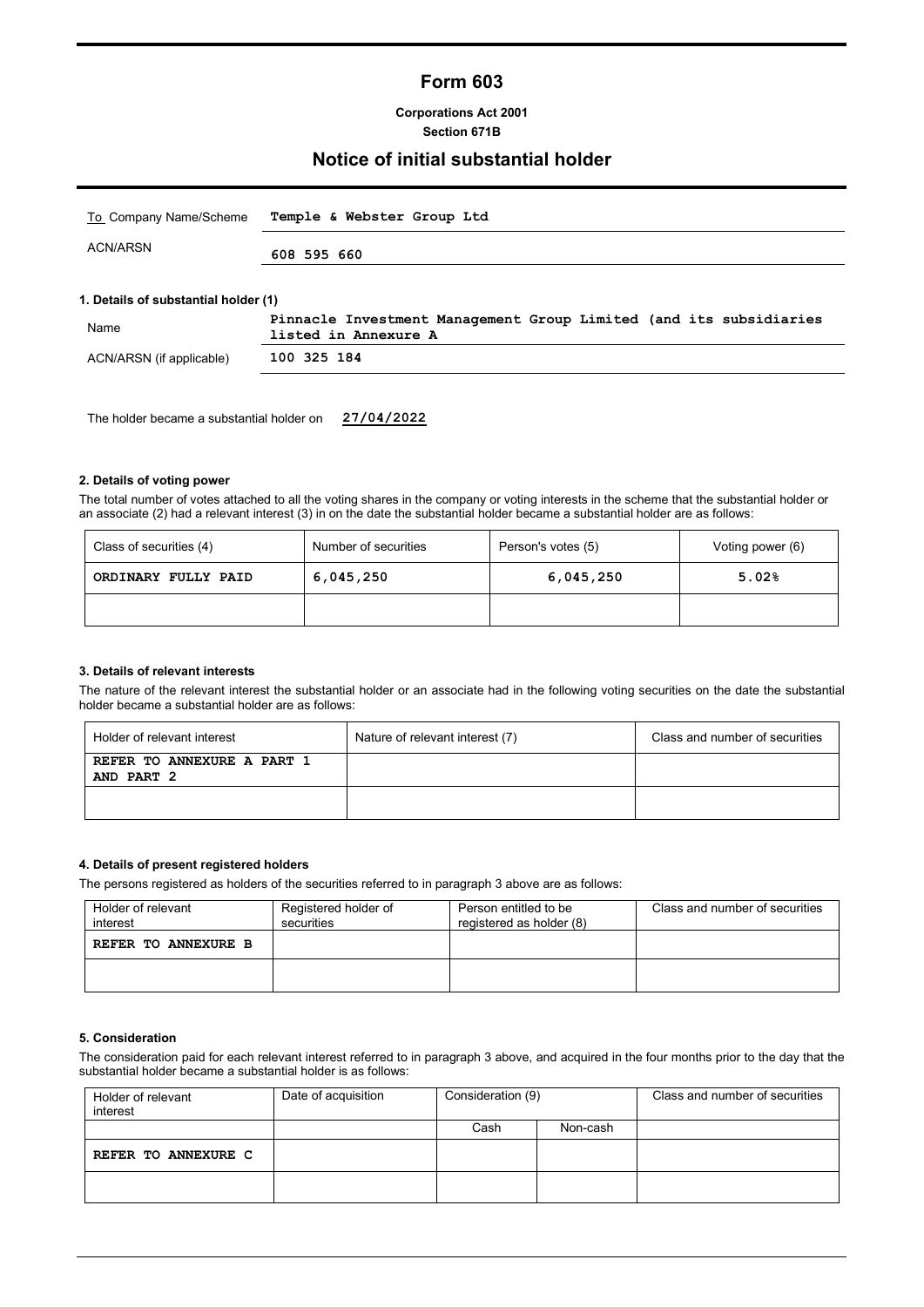# **Form 603**

**Corporations Act 2001 Section 671B**

### **Notice of initial substantial holder**

| To Company Name/Scheme               | Temple & Webster Group Ltd                                                                 |
|--------------------------------------|--------------------------------------------------------------------------------------------|
| ACN/ARSN                             | 608 595 660                                                                                |
| 1. Details of substantial holder (1) |                                                                                            |
| Name                                 | Pinnacle Investment Management Group Limited (and its subsidiaries<br>listed in Annexure A |
|                                      |                                                                                            |

The holder became a substantial holder on **27/04/2022**

#### **2. Details of voting power**

The total number of votes attached to all the voting shares in the company or voting interests in the scheme that the substantial holder or an associate (2) had a relevant interest (3) in on the date the substantial holder became a substantial holder are as follows:

| Number of securities<br>Class of securities (4) |           | Person's votes (5) | Voting power (6) |  |
|-------------------------------------------------|-----------|--------------------|------------------|--|
| ORDINARY FULLY PAID                             | 6,045,250 | 6,045,250          | 5.02%            |  |
|                                                 |           |                    |                  |  |

#### **3. Details of relevant interests**

The nature of the relevant interest the substantial holder or an associate had in the following voting securities on the date the substantial holder became a substantial holder are as follows:

| Holder of relevant interest              | Nature of relevant interest (7) | Class and number of securities |
|------------------------------------------|---------------------------------|--------------------------------|
| REFER TO ANNEXURE A PART 1<br>AND PART 2 |                                 |                                |
|                                          |                                 |                                |

#### **4. Details of present registered holders**

The persons registered as holders of the securities referred to in paragraph 3 above are as follows:

| Holder of relevant<br>interest | Registered holder of<br>securities |  | Class and number of securities |  |
|--------------------------------|------------------------------------|--|--------------------------------|--|
| REFER TO ANNEXURE B            |                                    |  |                                |  |
|                                |                                    |  |                                |  |

#### **5. Consideration**

The consideration paid for each relevant interest referred to in paragraph 3 above, and acquired in the four months prior to the day that the substantial holder became a substantial holder is as follows:

| Holder of relevant<br>interest | Date of acquisition | Consideration (9) |          | Class and number of securities |
|--------------------------------|---------------------|-------------------|----------|--------------------------------|
|                                |                     | Cash              | Non-cash |                                |
| REFER TO ANNEXURE C            |                     |                   |          |                                |
|                                |                     |                   |          |                                |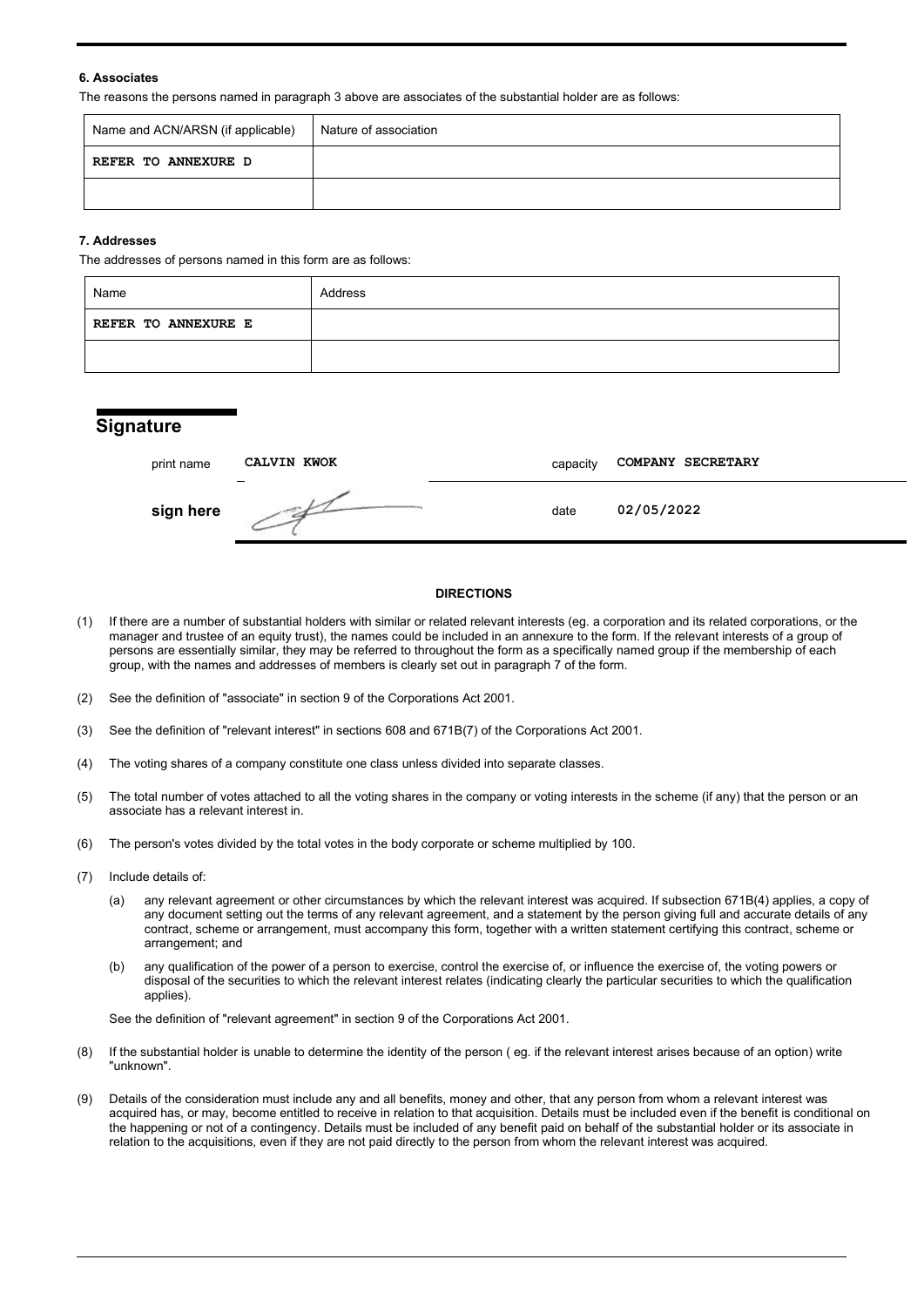#### **6. Associates**

The reasons the persons named in paragraph 3 above are associates of the substantial holder are as follows:

| Name and ACN/ARSN (if applicable) | Nature of association |
|-----------------------------------|-----------------------|
| REFER TO ANNEXURE D               |                       |
|                                   |                       |

#### **7. Addresses**

The addresses of persons named in this form are as follows:

| Name                       | Address |
|----------------------------|---------|
| <b>REFER TO ANNEXURE E</b> |         |
|                            |         |

### **Signature**

| print name | CALVIN KWOK | capacity | COMPANY SECRETARY |
|------------|-------------|----------|-------------------|
| sign here  |             | date     | 02/05/2022        |

#### **DIRECTIONS**

- (1) If there are a number of substantial holders with similar or related relevant interests (eg. a corporation and its related corporations, or the manager and trustee of an equity trust), the names could be included in an annexure to the form. If the relevant interests of a group of persons are essentially similar, they may be referred to throughout the form as a specifically named group if the membership of each group, with the names and addresses of members is clearly set out in paragraph 7 of the form.
- (2) See the definition of "associate" in section 9 of the Corporations Act 2001.
- (3) See the definition of "relevant interest" in sections 608 and 671B(7) of the Corporations Act 2001.
- (4) The voting shares of a company constitute one class unless divided into separate classes.
- (5) The total number of votes attached to all the voting shares in the company or voting interests in the scheme (if any) that the person or an associate has a relevant interest in.
- (6) The person's votes divided by the total votes in the body corporate or scheme multiplied by 100.
- (7) Include details of:
	- (a) any relevant agreement or other circumstances by which the relevant interest was acquired. If subsection 671B(4) applies, a copy of any document setting out the terms of any relevant agreement, and a statement by the person giving full and accurate details of any contract, scheme or arrangement, must accompany this form, together with a written statement certifying this contract, scheme or arrangement; and
	- (b) any qualification of the power of a person to exercise, control the exercise of, or influence the exercise of, the voting powers or disposal of the securities to which the relevant interest relates (indicating clearly the particular securities to which the qualification applies).

See the definition of "relevant agreement" in section 9 of the Corporations Act 2001.

- (8) If the substantial holder is unable to determine the identity of the person ( eg. if the relevant interest arises because of an option) write "unknown".
- (9) Details of the consideration must include any and all benefits, money and other, that any person from whom a relevant interest was acquired has, or may, become entitled to receive in relation to that acquisition. Details must be included even if the benefit is conditional on the happening or not of a contingency. Details must be included of any benefit paid on behalf of the substantial holder or its associate in relation to the acquisitions, even if they are not paid directly to the person from whom the relevant interest was acquired.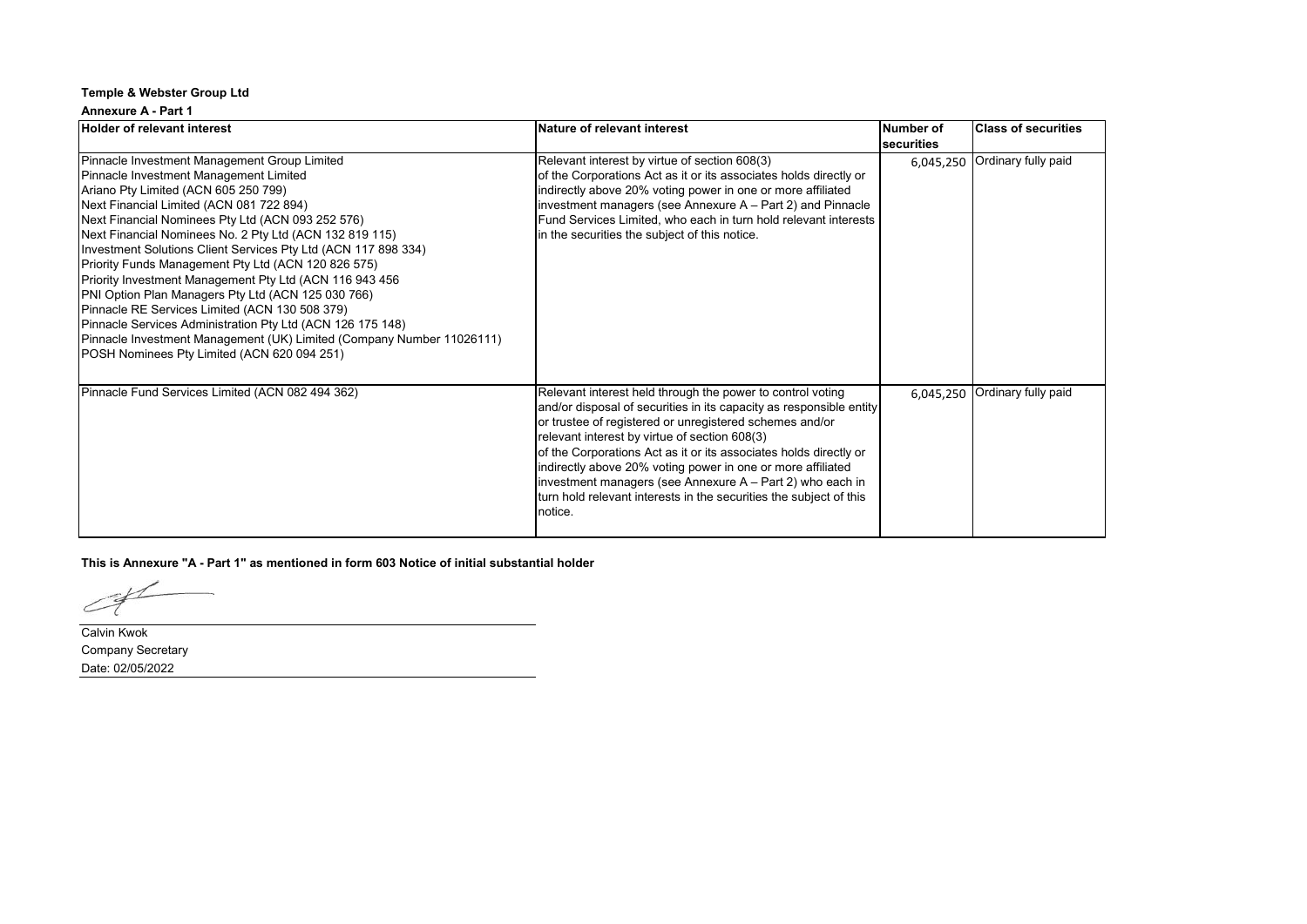#### **Annexure A - Part 1**

| <b>Holder of relevant interest</b>                                                                                                                                                                                                                                                                                                                                                                                                                                                                                                                                                                                                                                                                                                                                           | Nature of relevant interest                                                                                                                                                                                                                                                                                                                                                                                                                                                                                                     | <b>Number of</b><br><b>securities</b> | <b>Class of securities</b> |
|------------------------------------------------------------------------------------------------------------------------------------------------------------------------------------------------------------------------------------------------------------------------------------------------------------------------------------------------------------------------------------------------------------------------------------------------------------------------------------------------------------------------------------------------------------------------------------------------------------------------------------------------------------------------------------------------------------------------------------------------------------------------------|---------------------------------------------------------------------------------------------------------------------------------------------------------------------------------------------------------------------------------------------------------------------------------------------------------------------------------------------------------------------------------------------------------------------------------------------------------------------------------------------------------------------------------|---------------------------------------|----------------------------|
| Pinnacle Investment Management Group Limited<br>Pinnacle Investment Management Limited<br>Ariano Pty Limited (ACN 605 250 799)<br>Next Financial Limited (ACN 081 722 894)<br>Next Financial Nominees Pty Ltd (ACN 093 252 576)<br>Next Financial Nominees No. 2 Pty Ltd (ACN 132 819 115)<br>Investment Solutions Client Services Pty Ltd (ACN 117 898 334)<br>Priority Funds Management Pty Ltd (ACN 120 826 575)<br>Priority Investment Management Pty Ltd (ACN 116 943 456<br>PNI Option Plan Managers Pty Ltd (ACN 125 030 766)<br>Pinnacle RE Services Limited (ACN 130 508 379)<br>Pinnacle Services Administration Pty Ltd (ACN 126 175 148)<br>Pinnacle Investment Management (UK) Limited (Company Number 11026111)<br>POSH Nominees Pty Limited (ACN 620 094 251) | Relevant interest by virtue of section 608(3)<br>of the Corporations Act as it or its associates holds directly or<br>indirectly above 20% voting power in one or more affiliated<br>investment managers (see Annexure A - Part 2) and Pinnacle<br>Fund Services Limited, who each in turn hold relevant interests<br>in the securities the subject of this notice.                                                                                                                                                             | 6,045,250                             | Ordinary fully paid        |
| Pinnacle Fund Services Limited (ACN 082 494 362)                                                                                                                                                                                                                                                                                                                                                                                                                                                                                                                                                                                                                                                                                                                             | Relevant interest held through the power to control voting<br>and/or disposal of securities in its capacity as responsible entity<br>or trustee of registered or unregistered schemes and/or<br>relevant interest by virtue of section 608(3)<br>of the Corporations Act as it or its associates holds directly or<br>indirectly above 20% voting power in one or more affiliated<br>investment managers (see Annexure A – Part 2) who each in<br>turn hold relevant interests in the securities the subject of this<br>notice. | 6,045,250                             | Ordinary fully paid        |

**This is Annexure "A - Part 1" as mentioned in form 603 Notice of initial substantial holder**

 $C\not\vdash$ 

Calvin Kwok Company Secretary Date: 02/05/2022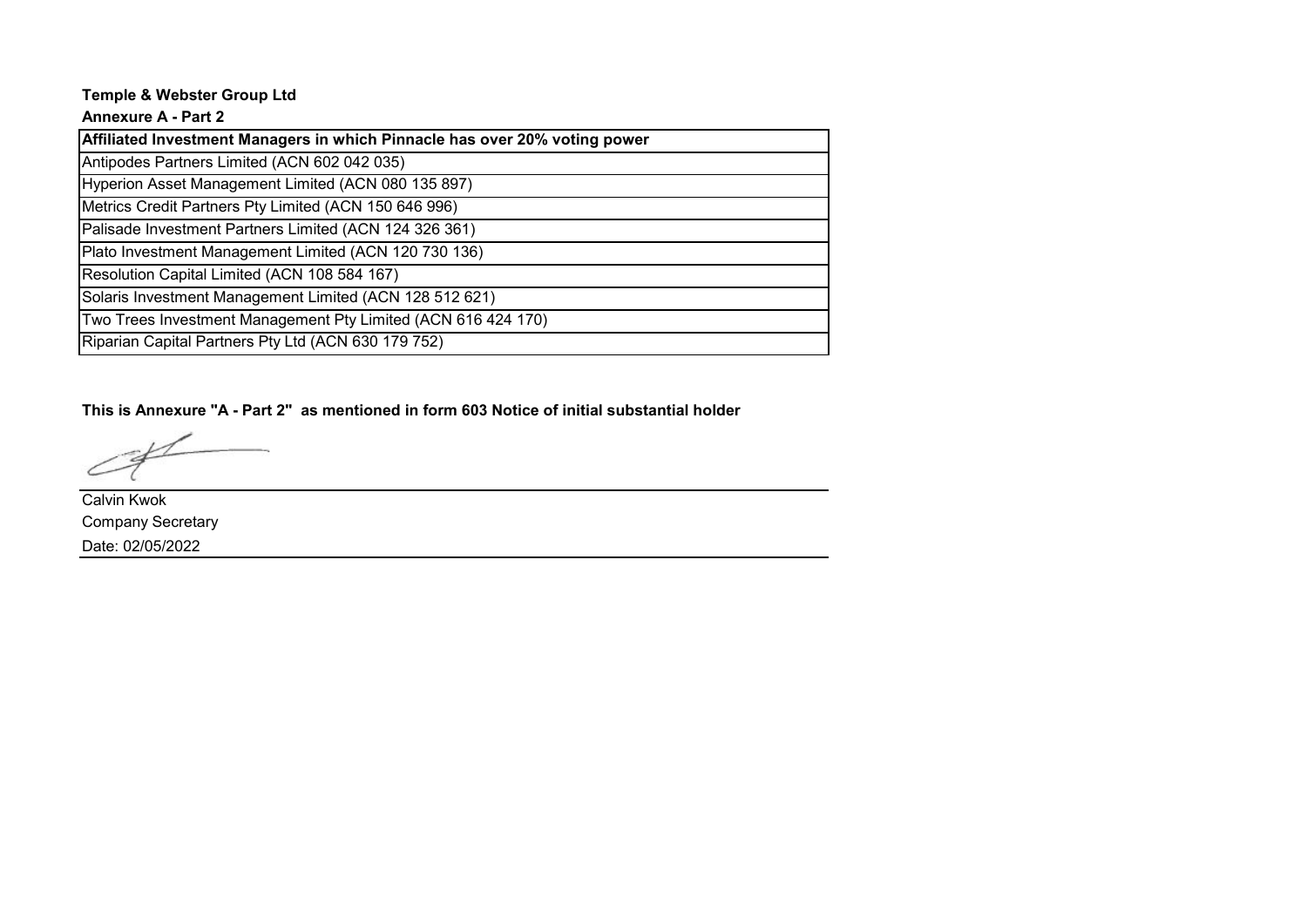## **Annexure A - Part 2**

| Affiliated Investment Managers in which Pinnacle has over 20% voting power |
|----------------------------------------------------------------------------|
| Antipodes Partners Limited (ACN 602 042 035)                               |
| Hyperion Asset Management Limited (ACN 080 135 897)                        |
| Metrics Credit Partners Pty Limited (ACN 150 646 996)                      |
| Palisade Investment Partners Limited (ACN 124 326 361)                     |
| Plato Investment Management Limited (ACN 120 730 136)                      |
| Resolution Capital Limited (ACN 108 584 167)                               |
| Solaris Investment Management Limited (ACN 128 512 621)                    |
| Two Trees Investment Management Pty Limited (ACN 616 424 170)              |
| Riparian Capital Partners Pty Ltd (ACN 630 179 752)                        |

**This is Annexure "A - Part 2" as mentioned in form 603 Notice of initial substantial holder**

Calvin Kwok Company Secretary Date: 02/05/2022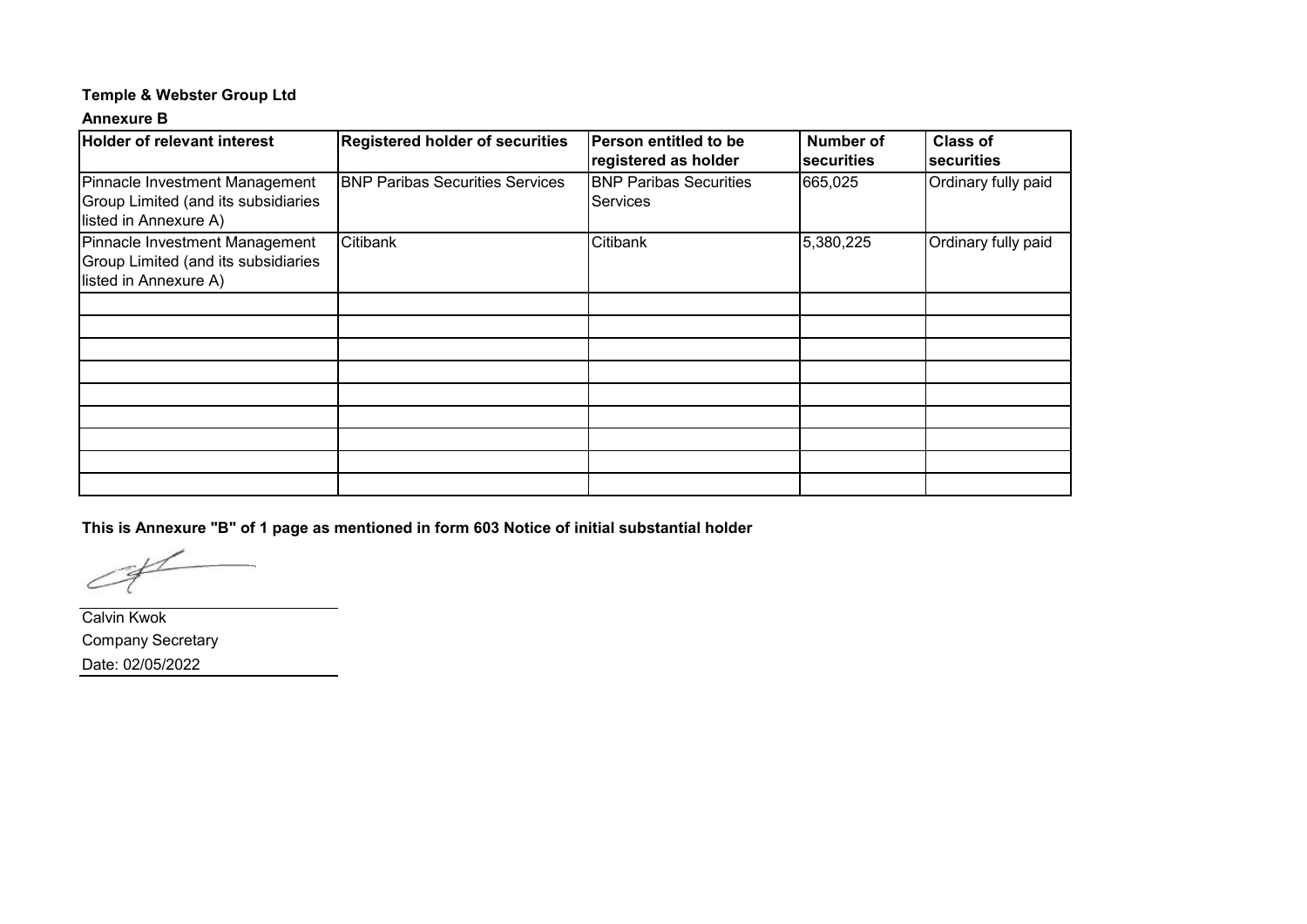### **Annexure B**

| Holder of relevant interest                                                                    | <b>Registered holder of securities</b> | Person entitled to be<br>registered as holder    | <b>Number of</b><br>securities | <b>Class of</b><br>securities |
|------------------------------------------------------------------------------------------------|----------------------------------------|--------------------------------------------------|--------------------------------|-------------------------------|
| Pinnacle Investment Management<br>Group Limited (and its subsidiaries<br>listed in Annexure A) | <b>BNP Paribas Securities Services</b> | <b>BNP Paribas Securities</b><br><b>Services</b> | 665,025                        | Ordinary fully paid           |
| Pinnacle Investment Management<br>Group Limited (and its subsidiaries<br>listed in Annexure A) | Citibank                               | Citibank                                         | 5,380,225                      | Ordinary fully paid           |
|                                                                                                |                                        |                                                  |                                |                               |
|                                                                                                |                                        |                                                  |                                |                               |
|                                                                                                |                                        |                                                  |                                |                               |
|                                                                                                |                                        |                                                  |                                |                               |
|                                                                                                |                                        |                                                  |                                |                               |
|                                                                                                |                                        |                                                  |                                |                               |
|                                                                                                |                                        |                                                  |                                |                               |
|                                                                                                |                                        |                                                  |                                |                               |
|                                                                                                |                                        |                                                  |                                |                               |

**This is Annexure "B" of 1 page as mentioned in form 603 Notice of initial substantial holder**

Calvin Kwok Company Secretary Date: 02/05/2022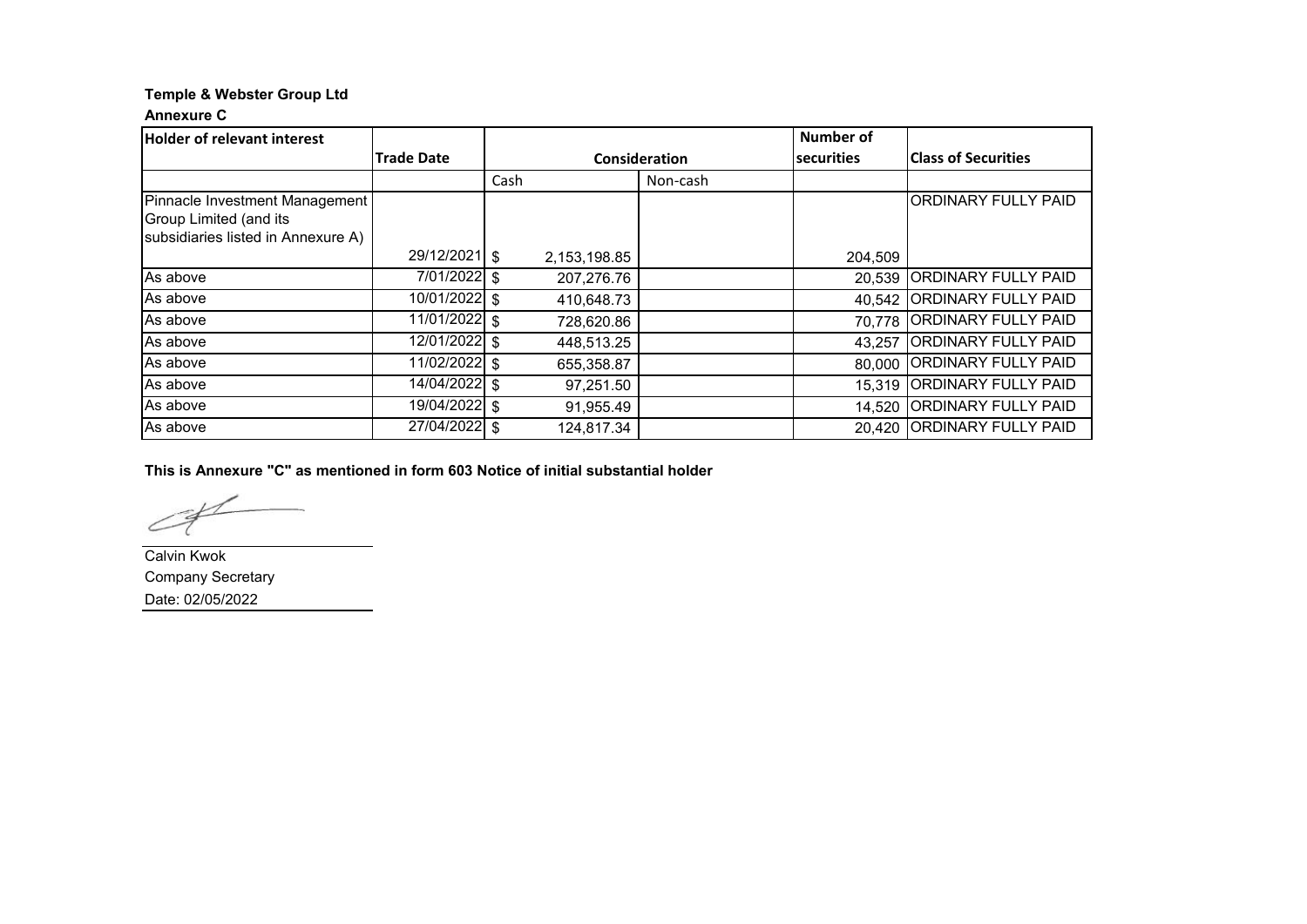### **Annexure C**

| <b>Holder of relevant interest</b> |                            |               |          | <b>Number of</b>  |                             |
|------------------------------------|----------------------------|---------------|----------|-------------------|-----------------------------|
|                                    | <b>Trade Date</b>          | Consideration |          | <b>securities</b> | <b>IClass of Securities</b> |
|                                    |                            | Cash          | Non-cash |                   |                             |
| Pinnacle Investment Management     |                            |               |          |                   | <b>ORDINARY FULLY PAID</b>  |
| Group Limited (and its             |                            |               |          |                   |                             |
| subsidiaries listed in Annexure A) |                            |               |          |                   |                             |
|                                    | 29/12/2021 \$              | 2,153,198.85  |          | 204,509           |                             |
| As above                           | 7/01/2022 \$               | 207,276.76    |          | 20,539            | <b>ORDINARY FULLY PAID</b>  |
| As above                           | 10/01/2022 \$              | 410,648.73    |          | 40,542            | <b>ORDINARY FULLY PAID</b>  |
| As above                           | 11/01/2022 \$              | 728,620.86    |          |                   | 70,778 ORDINARY FULLY PAID  |
| As above                           | $\overline{12/01/2022}$ \$ | 448,513.25    |          | 43,257            | <b>ORDINARY FULLY PAID</b>  |
| As above                           | 11/02/2022 \$              | 655,358.87    |          | 80,000            | <b>ORDINARY FULLY PAID</b>  |
| As above                           | 14/04/2022 \$              | 97,251.50     |          | 15,319            | <b>ORDINARY FULLY PAID</b>  |
| As above                           | 19/04/2022 \$              | 91,955.49     |          | 14,520            | <b>ORDINARY FULLY PAID</b>  |
| As above                           | 27/04/2022 \$              | 124,817.34    |          | 20.420            | <b>ORDINARY FULLY PAID</b>  |

**This is Annexure "C" as mentioned in form 603 Notice of initial substantial holder**

Calvin Kwok Company Secretary Date: 02/05/2022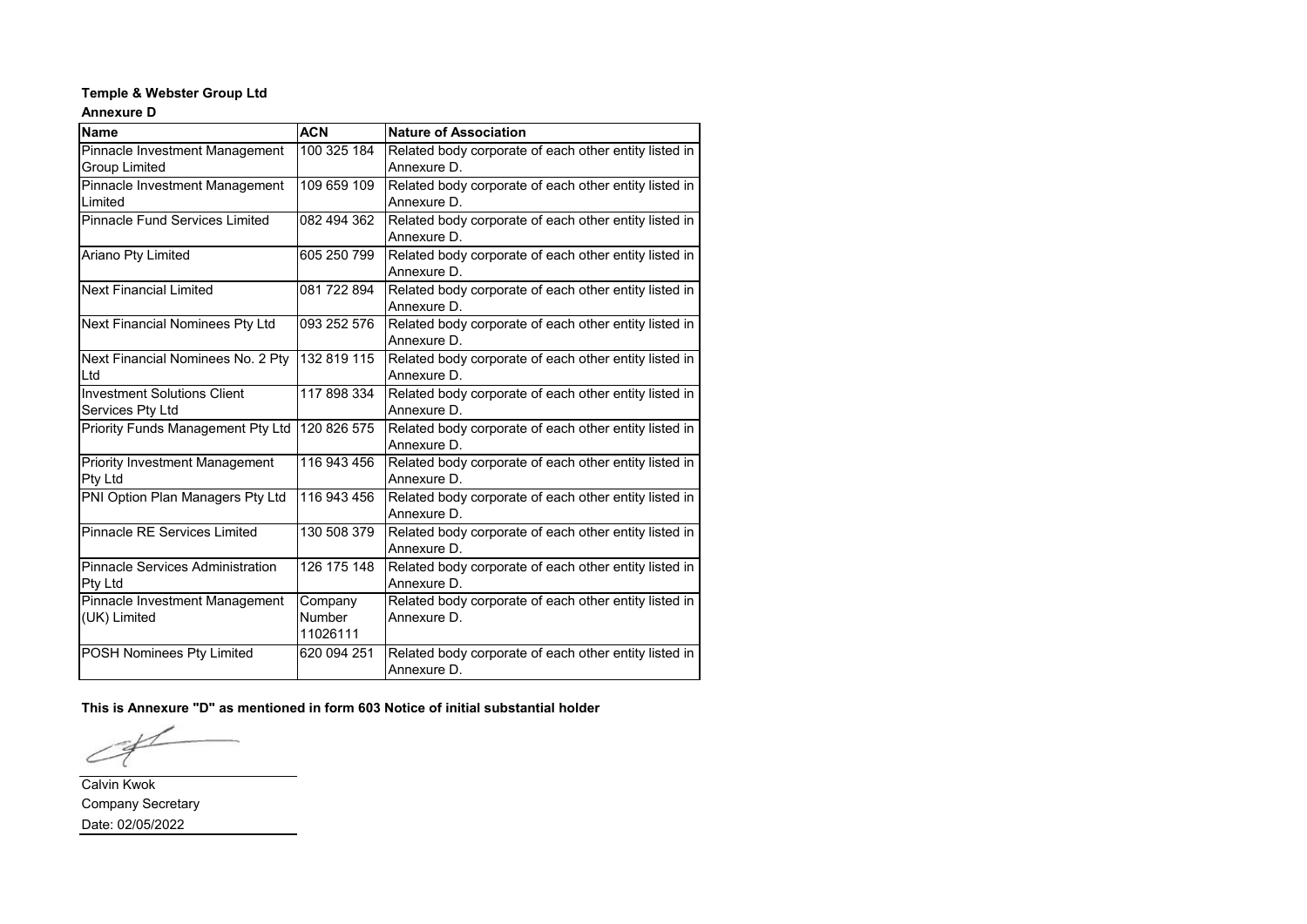### **Annexure D**

| <b>Name</b>                             | <b>ACN</b>    | <b>Nature of Association</b>                          |
|-----------------------------------------|---------------|-------------------------------------------------------|
| Pinnacle Investment Management          | 100 325 184   | Related body corporate of each other entity listed in |
| <b>Group Limited</b>                    |               | Annexure D.                                           |
| Pinnacle Investment Management          | 109 659 109   | Related body corporate of each other entity listed in |
| Limited                                 |               | Annexure D.                                           |
| <b>Pinnacle Fund Services Limited</b>   | 082 494 362   | Related body corporate of each other entity listed in |
|                                         |               | Annexure D.                                           |
| Ariano Pty Limited                      | 605 250 799   | Related body corporate of each other entity listed in |
|                                         |               | Annexure D.                                           |
| <b>Next Financial Limited</b>           | 081 722 894   | Related body corporate of each other entity listed in |
|                                         |               | Annexure D.                                           |
| Next Financial Nominees Pty Ltd         | 093 252 576   | Related body corporate of each other entity listed in |
|                                         |               | Annexure D.                                           |
| Next Financial Nominees No. 2 Pty       | 132 819 115   | Related body corporate of each other entity listed in |
| Ltd                                     |               | Annexure D.                                           |
| <b>Investment Solutions Client</b>      | 117 898 334   | Related body corporate of each other entity listed in |
| Services Pty Ltd                        |               | Annexure D.                                           |
| Priority Funds Management Pty Ltd       | 120 826 575   | Related body corporate of each other entity listed in |
|                                         |               | Annexure D.                                           |
| <b>Priority Investment Management</b>   | 116 943 456   | Related body corporate of each other entity listed in |
| Pty Ltd                                 |               | Annexure D.                                           |
| PNI Option Plan Managers Pty Ltd        | 116 943 456   | Related body corporate of each other entity listed in |
|                                         |               | Annexure D.                                           |
| <b>Pinnacle RE Services Limited</b>     | 130 508 379   | Related body corporate of each other entity listed in |
|                                         |               | Annexure D.                                           |
| <b>Pinnacle Services Administration</b> | 126 175 148   | Related body corporate of each other entity listed in |
| Pty Ltd                                 |               | Annexure D.                                           |
| Pinnacle Investment Management          | Company       | Related body corporate of each other entity listed in |
| (UK) Limited                            | <b>Number</b> | Annexure D.                                           |
|                                         | 11026111      |                                                       |
| POSH Nominees Pty Limited               | 620 094 251   | Related body corporate of each other entity listed in |
|                                         |               | Annexure D.                                           |

**This is Annexure "D" as mentioned in form 603 Notice of initial substantial holder**

∠

Calvin Kwok Company Secretary Date: 02/05/2022